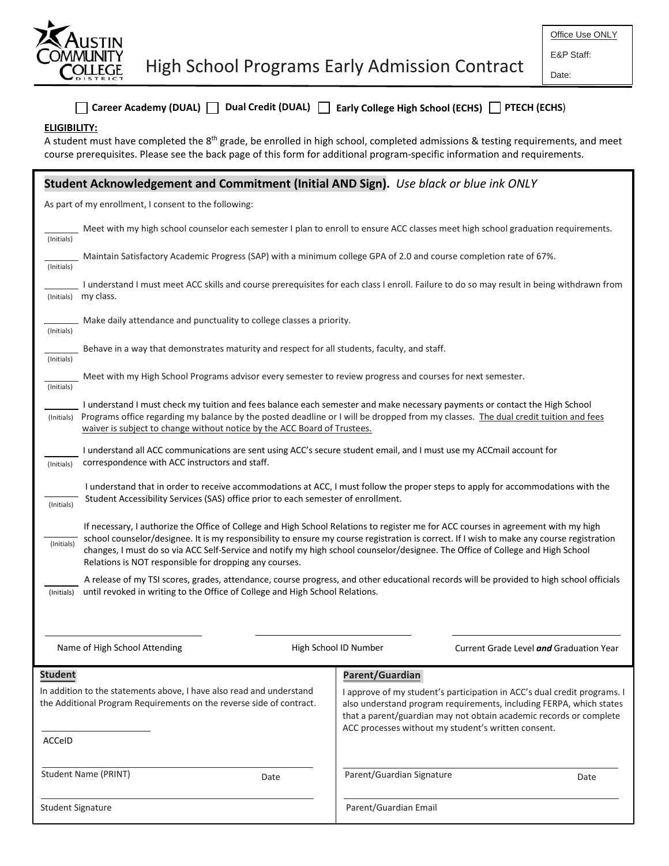

Date:

### **Career Academy (DUAL) Dual Credit (DUAL) Early College High School (ECHS) PTECH (ECHS**)

### **ELIGIBILITY:**

A student must have completed the 8<sup>th</sup> grade, be enrolled in high school, completed admissions & testing requirements, and meet course prerequisites. Please see the back page of this form for additional program-specific information and requirements.

| Student Acknowledgement and Commitment (Initial AND Sign). Use black or blue ink ONLY                                                                                                                                                                                                                                                                                                                                                                                                     |      |                                                                                                                                                                                                                                                                              |                                         |      |
|-------------------------------------------------------------------------------------------------------------------------------------------------------------------------------------------------------------------------------------------------------------------------------------------------------------------------------------------------------------------------------------------------------------------------------------------------------------------------------------------|------|------------------------------------------------------------------------------------------------------------------------------------------------------------------------------------------------------------------------------------------------------------------------------|-----------------------------------------|------|
| As part of my enrollment, I consent to the following:                                                                                                                                                                                                                                                                                                                                                                                                                                     |      |                                                                                                                                                                                                                                                                              |                                         |      |
| Meet with my high school counselor each semester I plan to enroll to ensure ACC classes meet high school graduation requirements.<br>(Initials)                                                                                                                                                                                                                                                                                                                                           |      |                                                                                                                                                                                                                                                                              |                                         |      |
| Maintain Satisfactory Academic Progress (SAP) with a minimum college GPA of 2.0 and course completion rate of 67%.<br>(Initials)                                                                                                                                                                                                                                                                                                                                                          |      |                                                                                                                                                                                                                                                                              |                                         |      |
| I understand I must meet ACC skills and course prerequisites for each class I enroll. Failure to do so may result in being withdrawn from<br>my class.<br>(Initials)                                                                                                                                                                                                                                                                                                                      |      |                                                                                                                                                                                                                                                                              |                                         |      |
| Make daily attendance and punctuality to college classes a priority.<br>(Initials)                                                                                                                                                                                                                                                                                                                                                                                                        |      |                                                                                                                                                                                                                                                                              |                                         |      |
| Behave in a way that demonstrates maturity and respect for all students, faculty, and staff.<br>(Initials)                                                                                                                                                                                                                                                                                                                                                                                |      |                                                                                                                                                                                                                                                                              |                                         |      |
| Meet with my High School Programs advisor every semester to review progress and courses for next semester.<br>(Initials)                                                                                                                                                                                                                                                                                                                                                                  |      |                                                                                                                                                                                                                                                                              |                                         |      |
| I understand I must check my tuition and fees balance each semester and make necessary payments or contact the High School<br>Programs office regarding my balance by the posted deadline or I will be dropped from my classes. The dual credit tuition and fees<br>(Initials)<br>waiver is subject to change without notice by the ACC Board of Trustees.                                                                                                                                |      |                                                                                                                                                                                                                                                                              |                                         |      |
| I understand all ACC communications are sent using ACC's secure student email, and I must use my ACCmail account for<br>correspondence with ACC instructors and staff.<br>(Initials)                                                                                                                                                                                                                                                                                                      |      |                                                                                                                                                                                                                                                                              |                                         |      |
| I understand that in order to receive accommodations at ACC, I must follow the proper steps to apply for accommodations with the<br>Student Accessibility Services (SAS) office prior to each semester of enrollment.<br>(Initials)                                                                                                                                                                                                                                                       |      |                                                                                                                                                                                                                                                                              |                                         |      |
| If necessary, I authorize the Office of College and High School Relations to register me for ACC courses in agreement with my high<br>school counselor/designee. It is my responsibility to ensure my course registration is correct. If I wish to make any course registration<br>(Initials)<br>changes, I must do so via ACC Self-Service and notify my high school counselor/designee. The Office of College and High School<br>Relations is NOT responsible for dropping any courses. |      |                                                                                                                                                                                                                                                                              |                                         |      |
| A release of my TSI scores, grades, attendance, course progress, and other educational records will be provided to high school officials<br>until revoked in writing to the Office of College and High School Relations.<br>(Initials)                                                                                                                                                                                                                                                    |      |                                                                                                                                                                                                                                                                              |                                         |      |
|                                                                                                                                                                                                                                                                                                                                                                                                                                                                                           |      |                                                                                                                                                                                                                                                                              |                                         |      |
| Name of High School Attending                                                                                                                                                                                                                                                                                                                                                                                                                                                             |      | High School ID Number                                                                                                                                                                                                                                                        | Current Grade Level and Graduation Year |      |
| <b>Student</b>                                                                                                                                                                                                                                                                                                                                                                                                                                                                            |      | Parent/Guardian                                                                                                                                                                                                                                                              |                                         |      |
| In addition to the statements above, I have also read and understand<br>the Additional Program Requirements on the reverse side of contract.                                                                                                                                                                                                                                                                                                                                              |      | I approve of my student's participation in ACC's dual credit programs. I<br>also understand program requirements, including FERPA, which states<br>that a parent/guardian may not obtain academic records or complete<br>ACC processes without my student's written consent. |                                         |      |
| <b>ACCeID</b>                                                                                                                                                                                                                                                                                                                                                                                                                                                                             |      |                                                                                                                                                                                                                                                                              |                                         |      |
| Student Name (PRINT)                                                                                                                                                                                                                                                                                                                                                                                                                                                                      | Date | Parent/Guardian Signature                                                                                                                                                                                                                                                    |                                         | Date |
| <b>Student Signature</b>                                                                                                                                                                                                                                                                                                                                                                                                                                                                  |      | Parent/Guardian Email                                                                                                                                                                                                                                                        |                                         |      |